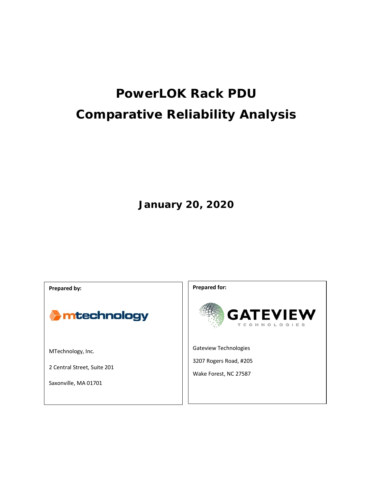# **PowerLOK Rack PDU Comparative Reliability Analysis**

**January 20, 2020**

**Prepared by:**



MTechnology, Inc.

2 Central Street, Suite 201

Saxonville, MA 01701

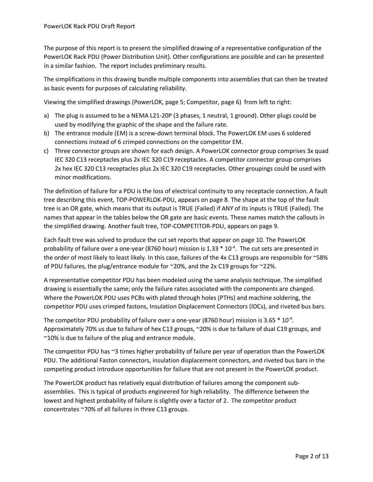The purpose of this report is to present the simplified drawing of a representative configuration of the PowerLOK Rack PDU (Power Distribution Unit). Other configurations are possible and can be presented in a similar fashion. The report includes preliminary results.

The simplifications in this drawing bundle multiple components into assemblies that can then be treated as basic events for purposes of calculating reliability.

Viewing the simplified drawings (PowerLOK, pag[e 5;](#page-4-0) Competitor, page [6\)](#page-5-0) from left to right:

- a) The plug is assumed to be a NEMA L21-20P (3 phases, 1 neutral, 1 ground). Other plugs could be used by modifying the graphic of the shape and the failure rate.
- b) The entrance module (EM) is a screw-down terminal block. The PowerLOK EM uses 6 soldered connections instead of 6 crimped connections on the competitor EM.
- c) Three connector groups are shown for each design. A PowerLOK connector group comprises 3x quad IEC 320 C13 receptacles plus 2x IEC 320 C19 receptacles. A competitor connector group comprises 2x hex IEC 320 C13 receptacles plus 2x IEC 320 C19 receptacles. Other groupings could be used with minor modifications.

The definition of failure for a PDU is the loss of electrical continuity to any receptacle connection. A fault tree describing this event, TOP-POWERLOK-PDU, appears on page [8.](#page-7-0) The shape at the top of the fault tree is an OR gate, which means that its output is TRUE (Failed) if ANY of its inputs is TRUE (Failed). The names that appear in the tables below the OR gate are basic events. These names match the callouts in the simplified drawing. Another fault tree, TOP-COMPETITOR-PDU, appears on pag[e 9.](#page-8-0)

Each fault tree was solved to produce the cut set reports that appear on page [10.](#page-9-0) The PowerLOK probability of failure over a one-year (8760 hour) mission is  $1.33 * 10<sup>-4</sup>$ . The cut sets are presented in the order of most likely to least likely. In this case, failures of the 4x C13 groups are responsible for ~58% of PDU failures, the plug/entrance module for ~20%, and the 2x C19 groups for ~22%.

A representative competitor PDU has been modeled using the same analysis technique. The simplified drawing is essentially the same; only the failure rates associated with the components are changed. Where the PowerLOK PDU uses PCBs with plated through holes (PTHs) and machine soldering, the competitor PDU uses crimped fastons, Insulation Displacement Connectors (IDCs), and riveted bus bars.

The competitor PDU probability of failure over a one-year (8760 hour) mission is 3.65  $*$  10<sup>-4</sup>. Approximately 70% us due to failure of hex C13 groups, ~20% is due to failure of dual C19 groups, and ~10% is due to failure of the plug and entrance module.

The competitor PDU has ~3 times higher probability of failure per year of operation than the PowerLOK PDU. The additional Faston connectors, insulation displacement connectors, and riveted bus bars in the competing product introduce opportunities for failure that are not present in the PowerLOK product.

The PowerLOK product has relatively equal distribution of failures among the component subassemblies. This is typical of products engineered for high reliability. The difference between the lowest and highest probability of failure is slightly over a factor of 2. The competitor product concentrates ~70% of all failures in three C13 groups.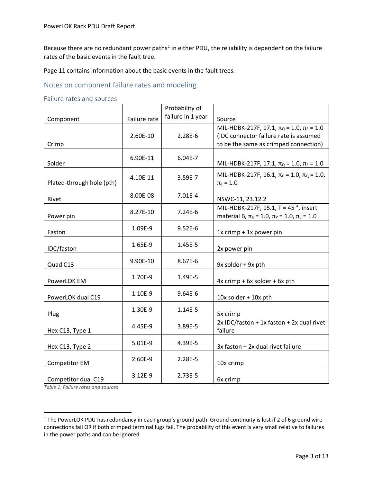Because there are no redundant power paths<sup>[1](#page-2-0)</sup> in either PDU, the reliability is dependent on the failure rates of the basic events in the fault tree.

Page [11](#page-10-0) contains information about the basic events in the fault trees.

#### Notes on component failure rates and modeling

#### Failure rates and sources

|                           |              | Probability of    |                                                                                                                                          |
|---------------------------|--------------|-------------------|------------------------------------------------------------------------------------------------------------------------------------------|
| Component                 | Failure rate | failure in 1 year | Source                                                                                                                                   |
| Crimp                     | 2.60E-10     | $2.28E-6$         | MIL-HDBK-217F, 17.1, $\pi_{Q}$ = 1.0, $\pi_{E}$ = 1.0<br>(IDC connector failure rate is assumed<br>to be the same as crimped connection) |
| Solder                    | 6.90E-11     | 6.04E-7           | MIL-HDBK-217F, 17.1, π <sub>Q</sub> = 1.0, π <sub>E</sub> = 1.0                                                                          |
| Plated-through hole (pth) | 4.10E-11     | 3.59E-7           | MIL-HDBK-217F, 16.1, $\pi_c$ = 1.0, $\pi_q$ = 1.0,<br>$\pi_{E} = 1.0$                                                                    |
| Rivet                     | 8.00E-08     | $7.01E-4$         | NSWC-11, 23.12.2                                                                                                                         |
| Power pin                 | 8.27E-10     | $7.24E - 6$       | MIL-HDBK-217F, 15.1, T = 45°, insert<br>material B, $\pi_{K}$ = 1.0, $\pi_{P}$ = 1.0, $\pi_{E}$ = 1.0                                    |
| Faston                    | 1.09E-9      | $9.52E-6$         | 1x crimp + 1x power pin                                                                                                                  |
| IDC/faston                | 1.65E-9      | 1.45E-5           | 2x power pin                                                                                                                             |
| Quad C13                  | 9.90E-10     | 8.67E-6           | 9x solder + 9x pth                                                                                                                       |
| PowerLOK EM               | 1.70E-9      | 1.49E-5           | $4x$ crimp + 6x solder + 6x pth                                                                                                          |
| PowerLOK dual C19         | 1.10E-9      | $9.64E-6$         | $10x$ solder + $10x$ pth                                                                                                                 |
| Plug                      | 1.30E-9      | $1.14E-5$         | 5x crimp                                                                                                                                 |
| Hex C13, Type 1           | 4.45E-9      | 3.89E-5           | 2x IDC/faston + 1x faston + 2x dual rivet<br>failure                                                                                     |
| Hex C13, Type 2           | $5.01E-9$    | 4.39E-5           | 3x faston + 2x dual rivet failure                                                                                                        |
| <b>Competitor EM</b>      | 2.60E-9      | 2.28E-5           | 10x crimp                                                                                                                                |
| Competitor dual C19       | 3.12E-9      | $2.73E-5$         | 6x crimp                                                                                                                                 |

*Table 1: Failure rates and sources*

<span id="page-2-0"></span><sup>&</sup>lt;sup>1</sup> The PowerLOK PDU has redundancy in each group's ground path. Ground continuity is lost if 2 of 6 ground wire connections fail OR if both crimped terminal lugs fail. The probability of this event is very small relative to failures in the power paths and can be ignored.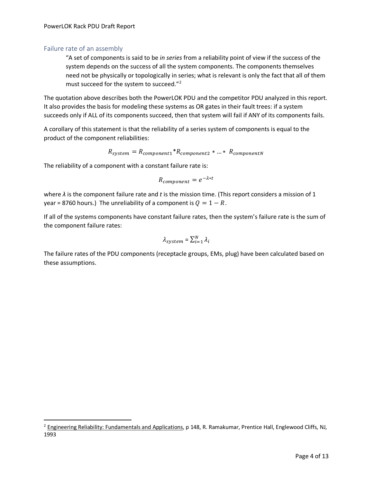#### Failure rate of an assembly

"A set of components is said to be *in series* from a reliability point of view if the success of the system depends on the success of all the system components. The components themselves need not be physically or topologically in series; what is relevant is only the fact that all of them must succeed for the system to succeed.["2](#page-3-0)

The quotation above describes both the PowerLOK PDU and the competitor PDU analyzed in this report. It also provides the basis for modeling these systems as OR gates in their fault trees: if a system succeeds only if ALL of its components succeed, then that system will fail if ANY of its components fails.

A corollary of this statement is that the reliability of a series system of components is equal to the product of the component reliabilities:

$$
R_{system} = R_{component1} * R_{component2} * ... * R_{componentN}
$$

The reliability of a component with a constant failure rate is:

$$
R_{component} = e^{-\lambda * t}
$$

where *λ* is the component failure rate and *t* is the mission time. (This report considers a mission of 1 year = 8760 hours.) The unreliability of a component is  $Q = 1 - R$ .

If all of the systems components have constant failure rates, then the system's failure rate is the sum of the component failure rates:

$$
\lambda_{system} = \sum_{i=1}^{N} \lambda_i
$$

The failure rates of the PDU components (receptacle groups, EMs, plug) have been calculated based on these assumptions.

<span id="page-3-0"></span><sup>&</sup>lt;sup>2</sup> Engineering Reliability: Fundamentals and Applications, p 148, R. Ramakumar, Prentice Hall, Englewood Cliffs, NJ, 1993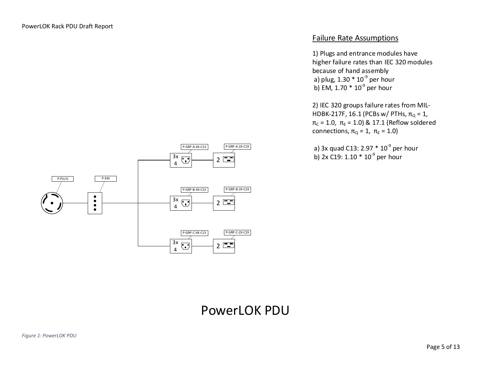

### Failure Rate Assumptions

1) Plugs and entrance modules have higher failure rates than IEC 320 modules because of hand assembly a) plug, 1.30  $*$  10<sup>-9</sup> per hour b) EM, 1.70  $*$  10<sup>-9</sup> per hour

2) IEC 320 groups failure rates from MIL-HDBK-217F, 16.1 (PCBs w/ PTHs,  $π_Q = 1$ ,  $π<sub>C</sub> = 1.0, π<sub>E</sub> = 1.0) & 17.1 (Reflow solved)$ connections,  $\pi_{\Omega} = 1$ ,  $\pi_{E} = 1.0$ )

a) 3x quad C13: 2.97  $*$  10<sup>-9</sup> per hour **b)** 2x C19: 1.10  $*$  10<sup>-9</sup> per hour

# <span id="page-4-0"></span>PowerLOK PDU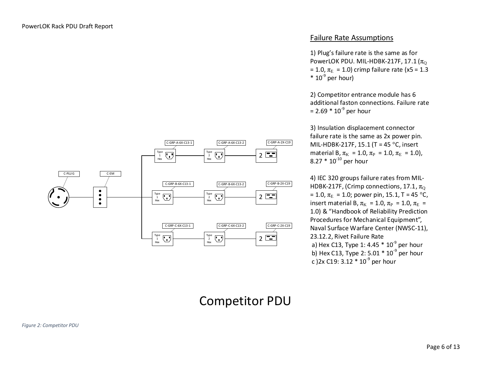

#### Failure Rate Assumptions

1) Plug's failure rate is the same as for PowerLOK PDU. MIL-HDBK-217F, 17.1 ( $\pi_{\Omega}$ = 1.0,  $\pi_E$  = 1.0) crimp failure rate (x5 = 1.3  $*10<sup>-9</sup>$  per hour)

2) Competitor entrance module has 6 additional faston connections. Failure rate  $= 2.69 * 10^{-9}$  per hour

3) Insulation displacement connector failure rate is the same as 2x power pin. MIL-HDBK-217F, 15.1 (T = 45 °C, insert material B,  $\pi_{K} = 1.0$ ,  $\pi_{P} = 1.0$ ,  $\pi_{E} = 1.0$ ), 8.27  $*$  10<sup>-10</sup> per hour

4) IEC 320 groups failure rates from MIL-HDBK-217F, (Crimp connections, 17.1,  $\pi_{\text{O}}$ = 1.0,  $\pi_E$  = 1.0; power pin, 15.1, T = 45 °C, insert material B,  $\pi_{\text{K}} = 1.0$ ,  $\pi_{\text{P}} = 1.0$ ,  $\pi_{\text{E}} =$ 1.0) & "Handbook of Reliability Prediction Procedures for Mechanical Equipment", Naval Surface Warfare Center (NWSC-11), 23.12.2, Rivet Failure Rate a) Hex C13, Type 1: 4.45  $*$  10<sup>-9</sup> per hour b) Hex C13, Type 2: 5.01  $*$  10<sup>-9</sup> per hour c )2x C19: 3.12  $*$  10<sup>-9</sup> per hour

# <span id="page-5-0"></span>Competitor PDU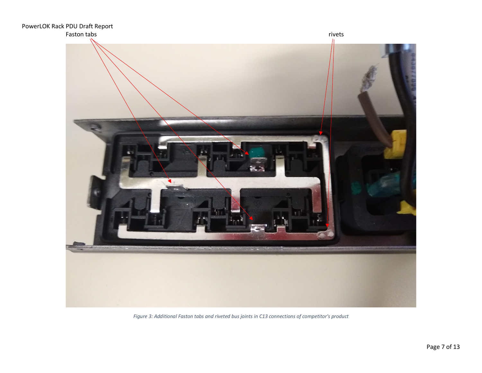

*Figure 3: Additional Faston tabs and riveted bus joints in C13 connections of competitor's product*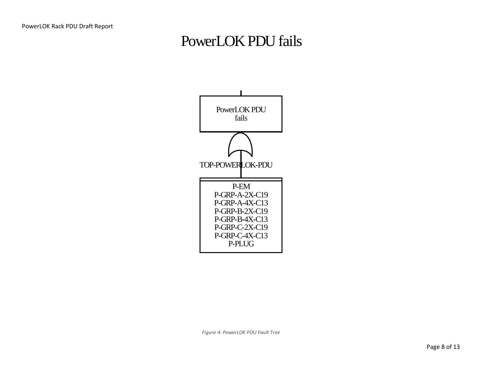# PowerLOK PDU fails



<span id="page-7-0"></span>*Figure 4: PowerLOK PDU Fault Tree*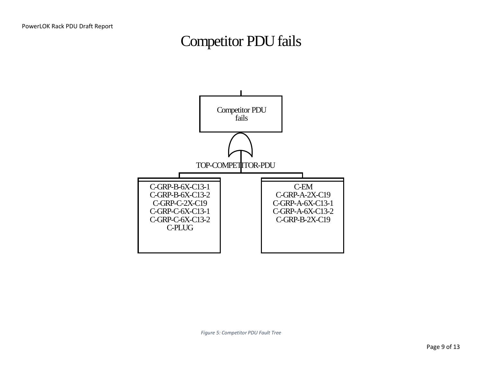# Competitor PDU fails



<span id="page-8-0"></span>*Figure 5: Competitor PDU Fault Tree*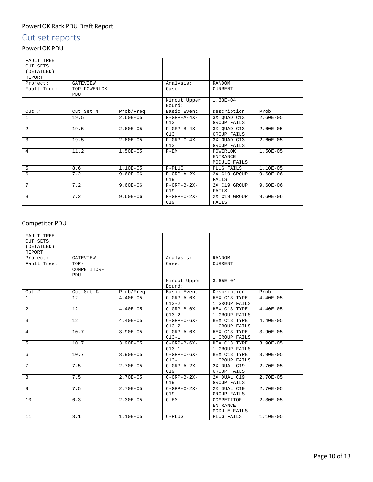#### PowerLOK Rack PDU Draft Report

# <span id="page-9-0"></span>Cut set reports

## PowerLOK PDU

| FAULT TREE<br><b>CUT SETS</b><br>(DETAILED)<br>REPORT |                      |              |                        |                |              |
|-------------------------------------------------------|----------------------|--------------|------------------------|----------------|--------------|
| Project:                                              | GATEVIEW             |              | Analysis:              | <b>RANDOM</b>  |              |
| Fault Tree:                                           | TOP-POWERLOK-<br>PDU |              | Case:                  | <b>CURRENT</b> |              |
|                                                       |                      |              | Mincut Upper<br>Bound: | $1.33E - 04$   |              |
| $Cut$ #                                               | Cut Set %            | Prob/Freq    | Basic Event            | Description    | Prob         |
| $\mathbf{1}$                                          | 19.5                 | $2.60E-05$   | $P-GRP - A - 4X -$     | 3X QUAD C13    | $2.60E-05$   |
|                                                       |                      |              | C13                    | GROUP FAILS    |              |
| $\overline{2}$                                        | 19.5                 | $2.60E-05$   | $P-GRP-B-4X-$          | 3X QUAD C13    | $2.60E - 05$ |
|                                                       |                      |              | C13                    | GROUP FAILS    |              |
| 3                                                     | 19.5                 | $2.60E - 05$ | $P - GRP - C - 4X -$   | 3X QUAD C13    | $2.60E - 05$ |
|                                                       |                      |              | C13                    | GROUP FAILS    |              |
| 4                                                     | 11.2                 | $1.50E-05$   | $P - EM$               | POWERLOK       | $1.50E-05$   |
|                                                       |                      |              |                        | ENTRANCE       |              |
|                                                       |                      |              |                        | MODULE FAILS   |              |
| 5                                                     | 8.6                  | 1.10E-05     | $P-PLUG$               | PLUG FAILS     | $1.10E-05$   |
| 6                                                     | 7.2                  | $9.60E-06$   | $P-GRP - A - 2X -$     | 2X C19 GROUP   | $9.60E - 06$ |
|                                                       |                      |              | C19                    | FAILS          |              |
| 7                                                     | 7.2                  | $9.60E - 06$ | $P - GRP - B - 2X -$   | 2X C19 GROUP   | $9.60E - 06$ |
|                                                       |                      |              | C19                    | FAILS          |              |
| 8                                                     | 7.2                  | $9.60E - 06$ | $P - GRP - C - 2X -$   | 2X C19 GROUP   | $9.60E - 06$ |
|                                                       |                      |              | C19                    | FAILS          |              |

## Competitor PDU

| FAULT TREE<br>CUT SETS<br>(DETAILED) |                              |              |                               |                                               |              |
|--------------------------------------|------------------------------|--------------|-------------------------------|-----------------------------------------------|--------------|
| REPORT                               |                              |              |                               |                                               |              |
| Project:                             | GATEVIEW                     |              | Analysis:                     | <b>RANDOM</b>                                 |              |
| Fault Tree:                          | $TOP-$<br>COMPETITOR-<br>PDU |              | Case:                         | <b>CURRENT</b>                                |              |
|                                      |                              |              | Mincut Upper<br>Bound:        | $3.65E-04$                                    |              |
| Cut#                                 | Cut Set %                    | Prob/Freq    | Basic Event                   | Description                                   | Prob         |
| $\mathbf{1}$                         | 12                           | $4.40E-05$   | $C-GRP - A - 6X -$<br>$C13-2$ | HEX C13 TYPE<br>1 GROUP FAILS                 | $4.40E-05$   |
| 2                                    | 12                           | $4.40E-05$   | $C-GRP-B-6X-$<br>$C13-2$      | HEX C13 TYPE<br>1 GROUP FAILS                 | $4.40E-05$   |
| $\overline{3}$                       | 12                           | $4.40E-05$   | $C-GRP-C-6X-$<br>$C13-2$      | HEX C13 TYPE<br>1 GROUP FAILS                 | $4.40E-05$   |
| 4                                    | 10.7                         | $3.90E - 05$ | $C-GRP - A - 6X -$<br>$C13-1$ | HEX C13 TYPE<br>1 GROUP FAILS                 | $3.90E - 05$ |
| 5                                    | 10.7                         | $3.90E - 05$ | $C-GRP-B-6X-$<br>$C13-1$      | HEX C13 TYPE<br>1 GROUP FAILS                 | $3.90E - 05$ |
| 6                                    | 10.7                         | $3.90E - 05$ | $C-GRP-C-6X-$<br>$C13-1$      | HEX C13 TYPE<br>1 GROUP FAILS                 | $3.90E - 05$ |
| $7\phantom{.0}$                      | 7.5                          | $2.70E - 05$ | $C-GRP - A - 2X -$<br>C19     | 2X DUAL C19<br>GROUP FAILS                    | $2.70E - 05$ |
| 8                                    | 7.5                          | $2.70E - 05$ | $C-GRP-B-2X-$<br>C19          | 2X DUAL C19<br><b>GROUP FAILS</b>             | $2.70E - 05$ |
| 9                                    | 7.5                          | $2.70E-05$   | $C-GRP-C-2X-$<br>C19          | 2X DUAL C19<br>GROUP FAILS                    | $2.70E - 05$ |
| 10                                   | 6.3                          | $2.30E - 05$ | $C - EM$                      | COMPETITOR<br><b>ENTRANCE</b><br>MODULE FAILS | $2.30E - 05$ |
| 11                                   | 3.1                          | $1.10E-05$   | $C-PLUG$                      | PLUG FAILS                                    | 1.10E-05     |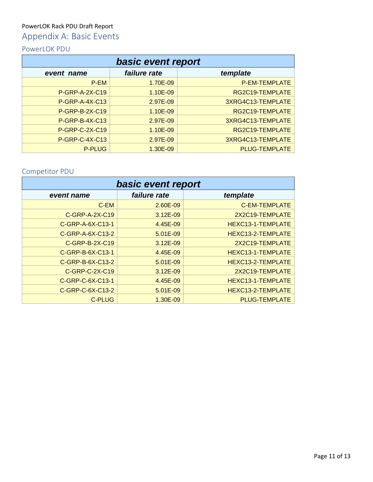## PowerLOK Rack PDU Draft Report

# <span id="page-10-0"></span>Appendix A: Basic Events

## PowerLOK PDU

| basic event report |              |                      |  |
|--------------------|--------------|----------------------|--|
| event name         | failure rate | template             |  |
| P-EM               | 1.70E-09     | P-EM-TEMPLATE        |  |
| P-GRP-A-2X-C19     | 1.10E-09     | RG2C19-TEMPLATE      |  |
| P-GRP-A-4X-C13     | 2.97E-09     | 3XRG4C13-TEMPLATE    |  |
| P-GRP-B-2X-C19     | 1.10E-09     | RG2C19-TEMPLATE      |  |
| P-GRP-B-4X-C13     | 2.97E-09     | 3XRG4C13-TEMPLATE    |  |
| P-GRP-C-2X-C19     | 1.10E-09     | RG2C19-TEMPLATE      |  |
| P-GRP-C-4X-C13     | 2.97E-09     | 3XRG4C13-TEMPLATE    |  |
| <b>P-PLUG</b>      | 1.30E-09     | <b>PLUG-TEMPLATE</b> |  |

## Competitor PDU

| basic event report |              |                      |  |
|--------------------|--------------|----------------------|--|
| event name         | failure rate | template             |  |
| C-EM               | 2.60E-09     | <b>C-EM-TEMPLATE</b> |  |
| C-GRP-A-2X-C19     | 3.12E-09     | 2X2C19-TEMPLATE      |  |
| C-GRP-A-6X-C13-1   | 4.45E-09     | HEXC13-1-TEMPLATE    |  |
| C-GRP-A-6X-C13-2   | 5.01E-09     | HEXC13-2-TEMPLATE    |  |
| C-GRP-B-2X-C19     | $3.12E - 09$ | 2X2C19-TEMPLATE      |  |
| C-GRP-B-6X-C13-1   | 4.45E-09     | HEXC13-1-TEMPLATE    |  |
| C-GRP-B-6X-C13-2   | 5.01E-09     | HEXC13-2-TEMPLATE    |  |
| C-GRP-C-2X-C19     | $3.12E-09$   | 2X2C19-TEMPLATE      |  |
| C-GRP-C-6X-C13-1   | 4.45E-09     | HEXC13-1-TEMPLATE    |  |
| C-GRP-C-6X-C13-2   | 5.01E-09     | HEXC13-2-TEMPLATE    |  |
| C-PLUG             | 1.30E-09     | <b>PLUG-TEMPLATE</b> |  |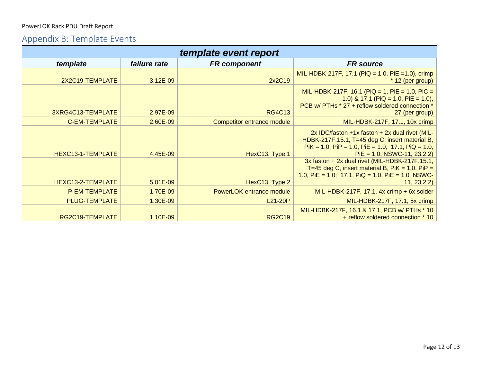## PowerLOK Rack PDU Draft Report

# Appendix B: Template Events

| template event report |              |                            |                                                                                                                                                                                             |  |
|-----------------------|--------------|----------------------------|---------------------------------------------------------------------------------------------------------------------------------------------------------------------------------------------|--|
| template              | failure rate | <b>FR</b> component        | <b>FR</b> source                                                                                                                                                                            |  |
| 2X2C19-TEMPLATE       | $3.12E - 09$ | 2x2C19                     | MIL-HDBK-217F, 17.1 (PiQ = 1.0, PiE = 1.0), crimp<br>* 12 (per group)                                                                                                                       |  |
| 3XRG4C13-TEMPLATE     | 2.97E-09     | <b>RG4C13</b>              | MIL-HDBK-217F, 16.1 (PiQ = 1, PiE = 1.0, PiC =<br>1.0) & 17.1 (PiQ = 1.0. PiE = 1.0),<br>PCB w/ PTHs * 27 + reflow soldered connection *<br>27 (per group)                                  |  |
| <b>C-EM-TEMPLATE</b>  | 2.60E-09     | Competitor entrance module | MIL-HDBK-217F, 17.1, 10x crimp                                                                                                                                                              |  |
| HEXC13-1-TEMPLATE     | 4.45E-09     | HexC13, Type 1             | 2x IDC/faston +1x faston + 2x dual rivet (MIL-<br>HDBK-217F, 15.1, T=45 deg C, insert material B,<br>$P$ iK = 1.0, PiP = 1.0, PiE = 1.0; 17.1, PiQ = 1.0,<br>$PiE = 1.0$ , NSWC-11, 23.2.2) |  |
| HEXC13-2-TEMPLATE     | 5.01E-09     | HexC13, Type 2             | 3x faston + 2x dual rivet (MIL-HDBK-217F, 15.1,<br>T=45 deg C, insert material B, PiK = 1.0, PiP =<br>1.0, PiE = 1.0; 17.1, PiQ = 1.0, PiE = 1.0, NSWC-<br>11, 23.2.2)                      |  |
| <b>P-EM-TEMPLATE</b>  | 1.70E-09     | PowerLOK entrance module   | MIL-HDBK-217F, 17.1, 4x crimp + 6x solder                                                                                                                                                   |  |
| <b>PLUG-TEMPLATE</b>  | 1.30E-09     | L <sub>21</sub> -20P       | MIL-HDBK-217F, 17.1, 5x crimp                                                                                                                                                               |  |
| RG2C19-TEMPLATE       | 1.10E-09     | <b>RG2C19</b>              | MIL-HDBK-217F, 16.1 & 17.1, PCB w/ PTHs * 10<br>+ reflow soldered connection * 10                                                                                                           |  |